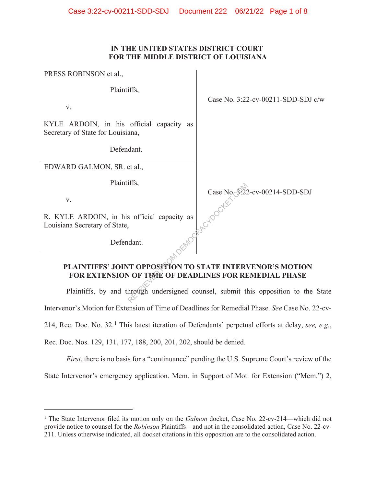### **IN THE UNITED STATES DISTRICT COURT FOR THE MIDDLE DISTRICT OF LOUISIANA**

 $\overline{1}$ 

| PRESS ROBINSON et al.,                                                                                             |                                           |
|--------------------------------------------------------------------------------------------------------------------|-------------------------------------------|
| Plaintiffs,                                                                                                        |                                           |
| V.                                                                                                                 | Case No. 3:22-cv-00211-SDD-SDJ c/w        |
| KYLE ARDOIN, in his official capacity as<br>Secretary of State for Louisiana,                                      |                                           |
| Defendant.                                                                                                         |                                           |
| EDWARD GALMON, SR. et al.,                                                                                         |                                           |
| Plaintiffs,                                                                                                        |                                           |
| V.                                                                                                                 | Case No $\frac{$22}{2}$ -cv-00214-SDD-SDJ |
| R. KYLE ARDOIN, in his official capacity as<br>Louisiana Secretary of State,                                       |                                           |
| Defendant.                                                                                                         |                                           |
| PLAINTIFFS' JOINT OPPOSITION TO STATE INTERVENOR'S MOTION<br>FOR EXTENSION OF TIME OF DEADLINES FOR REMEDIAL PHASE |                                           |
| Plaintiffs, by and through undersigned counsel, submit this opposition to the Sta                                  |                                           |

Plaintiffs, by and through undersigned counsel, submit this opposition to the State Intervenor's Motion for Extension of Time of Deadlines for Remedial Phase. *See* Case No. 22-cv-214, Rec. Doc. No. 32.<sup>1</sup> This latest iteration of Defendants' perpetual efforts at delay, *see, e.g.*,

Rec. Doc. Nos. 129, 131, 177, 188, 200, 201, 202, should be denied.

*First*, there is no basis for a "continuance" pending the U.S. Supreme Court's review of the State Intervenor's emergency application. Mem. in Support of Mot. for Extension ("Mem.") 2,

<sup>&</sup>lt;sup>1</sup> The State Intervenor filed its motion only on the *Galmon* docket, Case No. 22-cv-214—which did not provide notice to counsel for the *Robinson* Plaintiffs—and not in the consolidated action, Case No. 22-cv-211. Unless otherwise indicated, all docket citations in this opposition are to the consolidated action.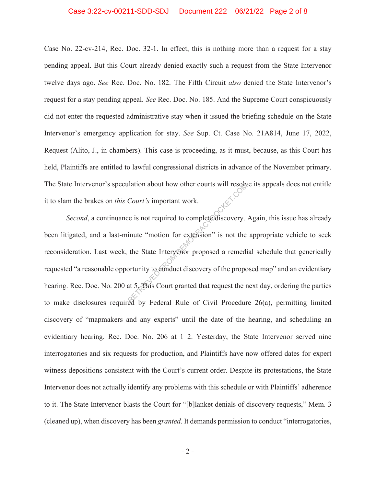#### Case 3:22-cv-00211-SDD-SDJ Document 222 06/21/22 Page 2 of 8

Case No. 22-cv-214, Rec. Doc. 32-1. In effect, this is nothing more than a request for a stay pending appeal. But this Court already denied exactly such a request from the State Intervenor twelve days ago. *See* Rec. Doc. No. 182. The Fifth Circuit *also* denied the State Intervenor's request for a stay pending appeal. *See* Rec. Doc. No. 185. And the Supreme Court conspicuously did not enter the requested administrative stay when it issued the briefing schedule on the State Intervenor's emergency application for stay. *See* Sup. Ct. Case No. 21A814, June 17, 2022, Request (Alito, J., in chambers). This case is proceeding, as it must, because, as this Court has held, Plaintiffs are entitled to lawful congressional districts in advance of the November primary. The State Intervenor's speculation about how other courts will resolve its appeals does not entitle it to slam the brakes on *this Court's* important work.

*Second*, a continuance is not required to complete discovery. Again, this issue has already been litigated, and a last-minute "motion for extension" is not the appropriate vehicle to seek reconsideration. Last week, the State Intervenor proposed a remedial schedule that generically requested "a reasonable opportunity to conduct discovery of the proposed map" and an evidentiary hearing. Rec. Doc. No. 200 at 5. This Court granted that request the next day, ordering the parties to make disclosures required by Federal Rule of Civil Procedure 26(a), permitting limited discovery of "mapmakers and any experts" until the date of the hearing, and scheduling an evidentiary hearing. Rec. Doc. No. 206 at 1–2. Yesterday, the State Intervenor served nine interrogatories and six requests for production, and Plaintiffs have now offered dates for expert witness depositions consistent with the Court's current order. Despite its protestations, the State Intervenor does not actually identify any problems with this schedule or with Plaintiffs' adherence to it. The State Intervenor blasts the Court for "[b]lanket denials of discovery requests," Mem. 3 (cleaned up), when discovery has been *granted*. It demands permission to conduct "interrogatories, Court's important work.<br>Court's important work.<br>
e is not required to complete discovery.<br>
inute "motion for extension" is not the<br>
the State Intervenor proposed a remedi<br>
ortunity to conduct discovery of the proposed<br>
at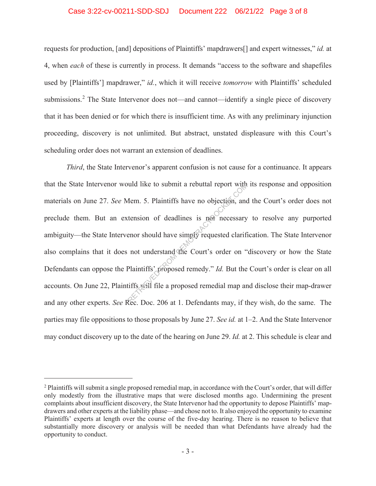#### Case 3:22-cv-00211-SDD-SDJ Document 222 06/21/22 Page 3 of 8

requests for production, [and] depositions of Plaintiffs' mapdrawers[] and expert witnesses," *id.* at 4, when *each* of these is currently in process. It demands "access to the software and shapefiles used by [Plaintiffs'] mapdrawer," *id.*, which it will receive *tomorrow* with Plaintiffs' scheduled submissions.<sup>2</sup> The State Intervenor does not—and cannot—identify a single piece of discovery that it has been denied or for which there is insufficient time. As with any preliminary injunction proceeding, discovery is not unlimited. But abstract, unstated displeasure with this Court's scheduling order does not warrant an extension of deadlines.

*Third*, the State Intervenor's apparent confusion is not cause for a continuance. It appears that the State Intervenor would like to submit a rebuttal report with its response and opposition materials on June 27. *See* Mem. 5. Plaintiffs have no objection, and the Court's order does not preclude them. But an extension of deadlines is not necessary to resolve any purported ambiguity—the State Intervenor should have simply requested clarification. The State Intervenor also complains that it does not understand the Court's order on "discovery or how the State Defendants can oppose the Plaintiffs' proposed remedy." *Id.* But the Court's order is clear on all accounts. On June 22, Plaintiffs will file a proposed remedial map and disclose their map-drawer and any other experts. *See* Rec. Doc. 206 at 1. Defendants may, if they wish, do the same. The parties may file oppositions to those proposals by June 27. *See id.* at 1–2. And the State Intervenor may conduct discovery up to the date of the hearing on June 29. *Id.* at 2. This schedule is clear and Nem. 5. Plaintiffs have no objection, and<br>tension of deadlines is not necessary<br>enor should have simply requested clarification<br>of deadlines is not necessary<br>enor should have simply requested clarification<br>of understand th

 $2$  Plaintiffs will submit a single proposed remedial map, in accordance with the Court's order, that will differ only modestly from the illustrative maps that were disclosed months ago. Undermining the present complaints about insufficient discovery, the State Intervenor had the opportunity to depose Plaintiffs' mapdrawers and other experts at the liability phase—and chose not to. It also enjoyed the opportunity to examine Plaintiffs' experts at length over the course of the five-day hearing. There is no reason to believe that substantially more discovery or analysis will be needed than what Defendants have already had the opportunity to conduct.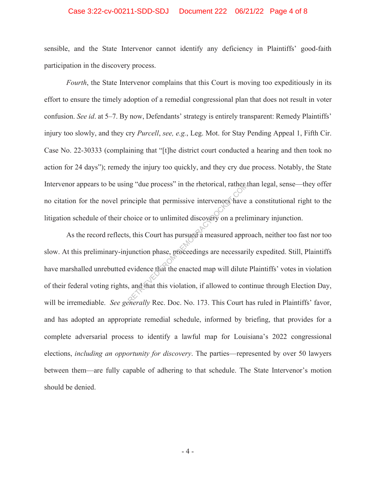#### Case 3:22-cv-00211-SDD-SDJ Document 222 06/21/22 Page 4 of 8

sensible, and the State Intervenor cannot identify any deficiency in Plaintiffs' good-faith participation in the discovery process.

*Fourth*, the State Intervenor complains that this Court is moving too expeditiously in its effort to ensure the timely adoption of a remedial congressional plan that does not result in voter confusion. *See id*. at 5–7. By now, Defendants' strategy is entirely transparent: Remedy Plaintiffs' injury too slowly, and they cry *Purcell*, *see, e.g.*, Leg. Mot. for Stay Pending Appeal 1, Fifth Cir. Case No. 22-30333 (complaining that "[t]he district court conducted a hearing and then took no action for 24 days"); remedy the injury too quickly, and they cry due process. Notably, the State Intervenor appears to be using "due process" in the rhetorical, rather than legal, sense—they offer no citation for the novel principle that permissive intervenors have a constitutional right to the litigation schedule of their choice or to unlimited discovery on a preliminary injunction.

As the record reflects, this Court has pursued a measured approach, neither too fast nor too slow. At this preliminary-injunction phase, proceedings are necessarily expedited. Still, Plaintiffs have marshalled unrebutted evidence that the enacted map will dilute Plaintiffs' votes in violation of their federal voting rights, and that this violation, if allowed to continue through Election Day, will be irremediable. *See generally* Rec. Doc. No. 173. This Court has ruled in Plaintiffs' favor, and has adopted an appropriate remedial schedule, informed by briefing, that provides for a complete adversarial process to identify a lawful map for Louisiana's 2022 congressional elections, *including an opportunity for discovery*. The parties—represented by over 50 lawyers between them—are fully capable of adhering to that schedule. The State Intervenor's motion should be denied. refluencess" in the rhetorical, rather<br>inciple that permissive intervenors have<br>hoice or to unlimited discovery on a prelis,<br>this Court has pursued a measured appr<br>increase a measured approximation phase, proceedings are n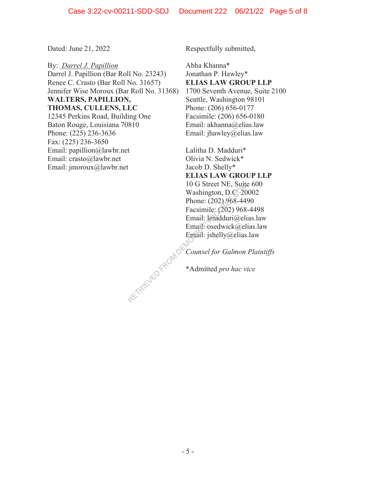By: *Darrel J. Papillion* Darrel J. Papillion (Bar Roll No. 23243) Renee C. Crasto (Bar Roll No. 31657) Jennifer Wise Moroux (Bar Roll No. 31368) **WALTERS, PAPILLION, THOMAS, CULLENS, LLC** 12345 Perkins Road, Building One Baton Rouge, Louisiana 70810 Phone: (225) 236-3636 Fax: (225) 236-3650 Email: papillion@lawbr.net Email: crasto@lawbr.net Email: jmoroux@lawbr.net

Dated: June 21, 2022 Respectfully submitted,

Abha Khanna\* Jonathan P. Hawley\* **ELIAS LAW GROUP LLP** 1700 Seventh Avenue, Suite 2100 Seattle, Washington 98101 Phone: (206) 656-0177 Facsimile: (206) 656-0180 Email: akhanna@elias.law Email: jhawley@elias.law

Lalitha D. Madduri\* Olivia N. Sedwick\* Jacob D. Shelly\* **ELIAS LAW GROUP LLP**  10 G Street NE, Suite 600 Washington, D.C. 20002 Phone: (202) 968-4490 Facsimile: (202) 968-4498 Email: lmadduri@elias.law Email<sup>O</sup>sedwick@elias.law Email: jshelly@elias.law

*Counsel for Galmon Plaintiffs* RETRIEVED FROM DE

\*Admitted *pro hac vice*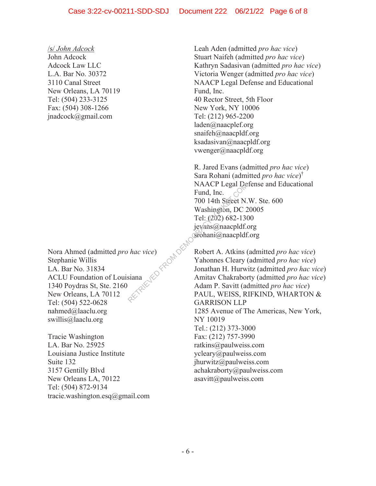## /s/ *John Adcock* John Adcock Adcock Law LLC L.A. Bar No. 30372 3110 Canal Street New Orleans, LA 70119 Tel: (504) 233-3125 Fax: (504) 308-1266 jnadcock@gmail.com

Nora Ahmed (admitted *pro hac vice*) Stephanie Willis LA. Bar No. 31834 ACLU Foundation of Louisiana 1340 Poydras St, Ste. 2160 New Orleans, LA 70112 Tel: (504) 522-0628 nahmed@laaclu.org swillis@laaclu.org

Tracie Washington LA. Bar No. 25925 Louisiana Justice Institute Suite 132 3157 Gentilly Blvd New Orleans LA, 70122 Tel: (504) 872-9134 tracie.washington.esq@gmail.com Leah Aden (admitted *pro hac vice*) Stuart Naifeh (admitted *pro hac vice*) Kathryn Sadasivan (admitted *pro hac vice*) Victoria Wenger (admitted *pro hac vice*) NAACP Legal Defense and Educational Fund, Inc. 40 Rector Street, 5th Floor New York, NY 10006 Tel: (212) 965-2200 laden@naacplef.org snaifeh@naacpldf.org ksadasivan@naacpldf.org vwenger@naacpldf.org

R. Jared Evans (admitted *pro hac vice*) Sara Rohani (admitted *pro hac vice*) † NAACP Legal Defense and Educational Fund, Inc. 700 14th Street N.W. Ste. 600 Washington, DC 20005 Tel: (202) 682-1300 jevans@naacpldf.org srohani@naacpldf.org Fund, Inc.<br>
700 14th Street N<br>
Washington, DC<br>
Tel: (202) 682-1.<br>
jevans@naacpld<br>
Sirohani@naacpld<br>
ce)<br>
Robert A. Atkir<br>
Yahonr

Robert A. Atkins (admitted *pro hac vice*) Yahonnes Cleary (admitted *pro hac vice*) Jonathan H. Hurwitz (admitted *pro hac vice*) Amitav Chakraborty (admitted *pro hac vice*) Adam P. Savitt (admitted *pro hac vice*) PAUL, WEISS, RIFKIND, WHARTON & GARRISON LLP 1285 Avenue of The Americas, New York, NY 10019 Tel.: (212) 373-3000 Fax: (212) 757-3990 ratkins@paulweiss.com ycleary@paulweiss.com jhurwitz@paulweiss.com achakraborty@paulweiss.com asavitt@paulweiss.com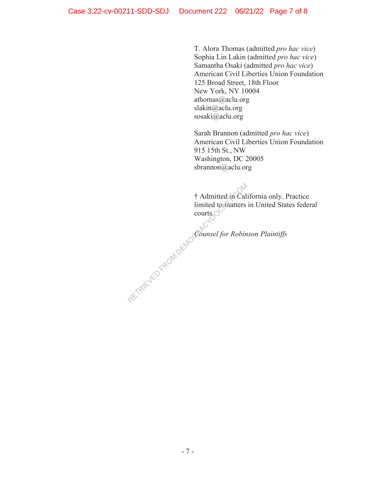T. Alora Thomas (admitted *pro hac vice*) Sophia Lin Lakin (admitted *pro hac vice*) Samantha Osaki (admitted *pro hac vice*) American Civil Liberties Union Foundation 125 Broad Street, 18th Floor New York, NY 10004 athomas@aclu.org slakin@aclu.org sosaki@aclu.org

Sarah Brannon (admitted *pro hac vice*) American Civil Liberties Union Foundation 915 15th St., NW Washington, DC 20005 sbrannon@aclu.org

† Admitted in California only. Practice limited to matters in United States federal courts. <sup>†</sup> Admitted in Cal

*Counsel for Robinson Plaintiffs*